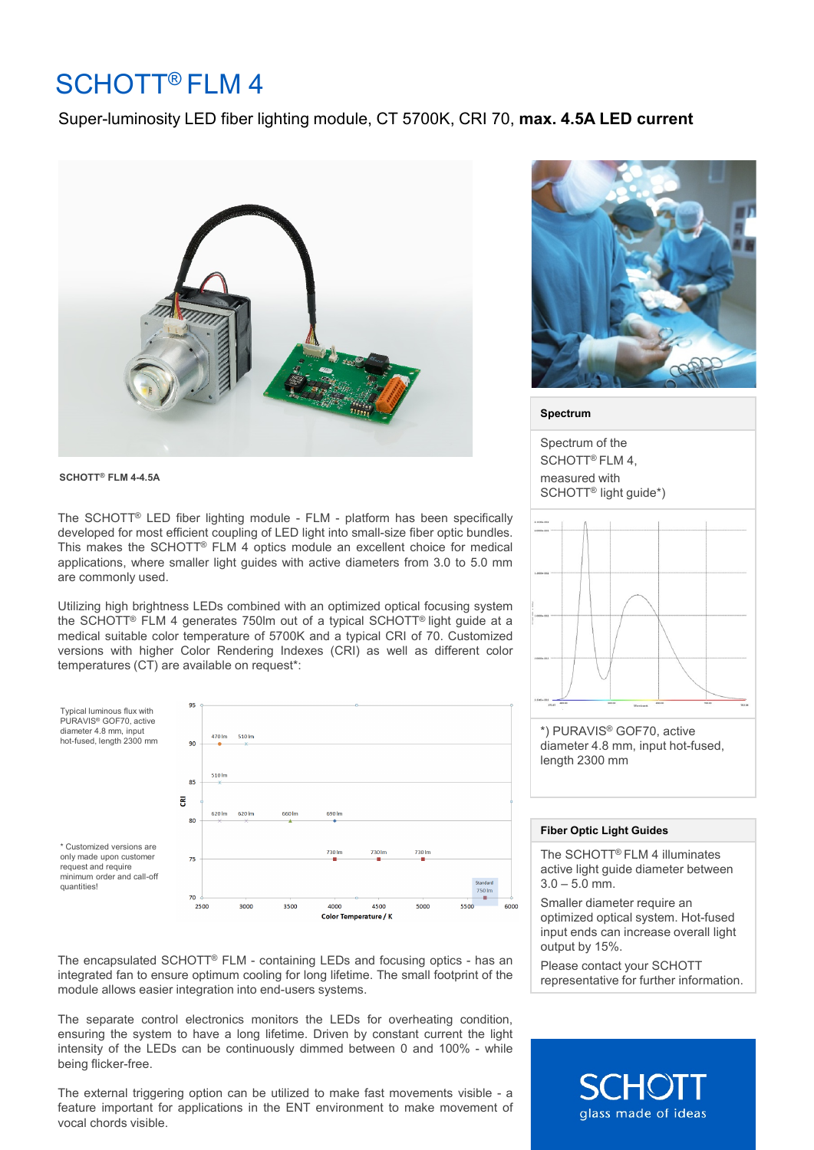# SCHOTT® FLM 4

### Super-luminosity LED fiber lighting module, CT 5700K, CRI 70, **max. 4.5A LED current**



**SCHOTT® FLM 4-4.5A** 

The SCHOTT® LED fiber lighting module - FLM - platform has been specifically developed for most efficient coupling of LED light into small-size fiber optic bundles. This makes the SCHOTT® FLM 4 optics module an excellent choice for medical applications, where smaller light guides with active diameters from 3.0 to 5.0 mm are commonly used.

Utilizing high brightness LEDs combined with an optimized optical focusing system the SCHOTT® FLM 4 generates 750lm out of a typical SCHOTT® light guide at a medical suitable color temperature of 5700K and a typical CRI of 70. Customized versions with higher Color Rendering Indexes (CRI) as well as different color temperatures (CT) are available on request\*:



The encapsulated SCHOTT® FLM - containing LEDs and focusing optics - has an integrated fan to ensure optimum cooling for long lifetime. The small footprint of the module allows easier integration into end-users systems.

The separate control electronics monitors the LEDs for overheating condition, ensuring the system to have a long lifetime. Driven by constant current the light intensity of the LEDs can be continuously dimmed between 0 and 100% - while being flicker-free.

The external triggering option can be utilized to make fast movements visible - a feature important for applications in the ENT environment to make movement of vocal chords visible.



#### **Spectrum**

Spectrum of the SCHOTT<sup>®</sup> FLM 4. measured with SCHOTT® light guide\*)



#### **Fiber Optic Light Guides**

length 2300 mm

The SCHOTT® FLM 4 illuminates active light guide diameter between  $3.0 - 5.0$  mm.

Smaller diameter require an optimized optical system. Hot-fused input ends can increase overall light output by 15%.

Please contact your SCHOTT representative for further information.